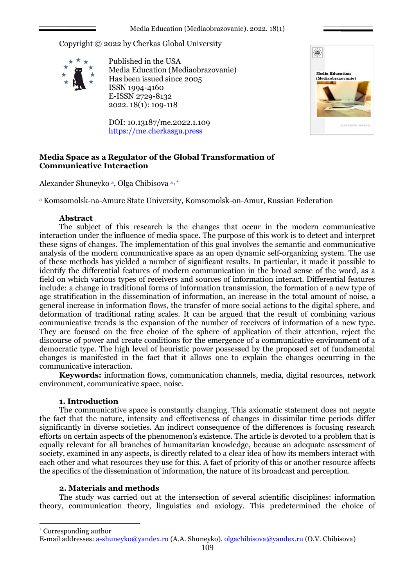Copyright © 2022 by Cherkas Global University



Published in the USA Media Education (Mediaobrazovanie) Has been issued since 2005 ISSN 1994-4160 E-ISSN 2729-8132 2022. 18(1): 109-118

DOI: 10.13187/me.2022.1.109 https://me.cherkasgu.press



# **Media Space as a Regulator of the Global Transformation of Communicative Interaction**

Alexander Shuneyko <sup>a</sup>, Olga Chibisova <sup>a, \*</sup>

<sup>a</sup> Komsomolsk-na-Amure State University, Komsomolsk-on-Amur, Russian Federation

## **Abstract**

The subject of this research is the changes that occur in the modern communicative interaction under the influence of media space. The purpose of this work is to detect and interpret these signs of changes. The implementation of this goal involves the semantic and communicative analysis of the modern communicative space as an open dynamic self-organizing system. The use of these methods has yielded a number of significant results. In particular, it made it possible to identify the differential features of modern communication in the broad sense of the word, as a field on which various types of receivers and sources of information interact. Differential features include: a change in traditional forms of information transmission, the formation of a new type of age stratification in the dissemination of information, an increase in the total amount of noise, a general increase in information flows, the transfer of more social actions to the digital sphere, and deformation of traditional rating scales. It can be argued that the result of combining various communicative trends is the expansion of the number of receivers of information of a new type. They are focused on the free choice of the sphere of application of their attention, reject the discourse of power and create conditions for the emergence of a communicative environment of a democratic type. The high level of heuristic power possessed by the proposed set of fundamental changes is manifested in the fact that it allows one to explain the changes occurring in the communicative interaction.

**Keywords:** information flows, communication channels, media, digital resources, network environment, communicative space, noise.

# **1. Introduction**

The communicative space is constantly changing. This axiomatic statement does not negate the fact that the nature, intensity and effectiveness of changes in dissimilar time periods differ significantly in diverse societies. An indirect consequence of the differences is focusing research efforts on certain aspects of the phenomenon's existence. The article is devoted to a problem that is equally relevant for all branches of humanitarian knowledge, because an adequate assessment of society, examined in any aspects, is directly related to a clear idea of how its members interact with each other and what resources they use for this. A fact of priority of this or another resource affects the specifics of the dissemination of information, the nature of its broadcast and perception.

## **2. Materials and methods**

The study was carried out at the intersection of several scientific disciplines: information theory, communication theory, linguistics and axiology. This predetermined the choice of

\* Corresponding author

1

E-mail addresses: [a-shuneyko@yandex.ru](mailto:a-shuneyko@yandex.ru) (A.A. Shuneyko), [olgachibisova@yandex.ru](mailto:olgachibisova@yandex.ru) (O.V. Chibisova)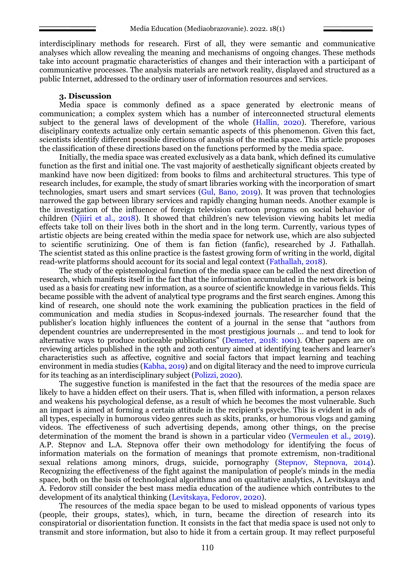interdisciplinary methods for research. First of all, they were semantic and communicative analyses which allow revealing the meaning and mechanisms of ongoing changes. These methods take into account pragmatic characteristics of changes and their interaction with a participant of communicative processes. The analysis materials are network reality, displayed and structured as a public Internet, addressed to the ordinary user of information resources and services.

### **3. Discussion**

Media space is commonly defined as a space generated by electronic means of communication; a complex system which has a number of interconnected structural elements subject to the general laws of development of the whole (Hallin, 2020). Therefore, various disciplinary contexts actualize only certain semantic aspects of this phenomenon. Given this fact, scientists identify different possible directions of analysis of the media space. This article proposes the classification of these directions based on the functions performed by the media space.

Initially, the media space was created exclusively as a data bank, which defined its cumulative function as the first and initial one. The vast majority of aesthetically significant objects created by mankind have now been digitized: from books to films and architectural structures. This type of research includes, for example, the study of smart libraries working with the incorporation of smart technologies, smart users and smart services (Gul, Bano, 2019). It was proven that technologies narrowed the gap between library services and rapidly changing human needs. Another example is the investigation of the influence of foreign television cartoon programs on social behavior of children (Njiiri et al., 2018). It showed that children's new television viewing habits let media effects take toll on their lives both in the short and in the long term. Currently, various types of artistic objects are being created within the media space for network use, which are also subjected to scientific scrutinizing. One of them is fan fiction (fanfic), researched by J. Fathallah. The scientist stated as this online practice is the fastest growing form of writing in the world, digital read-write platforms should account for its social and legal context (Fathallah, 2018).

The study of the epistemological function of the media space can be called the next direction of research, which manifests itself in the fact that the information accumulated in the network is being used as a basis for creating new information, as a source of scientific knowledge in various fields. This became possible with the advent of analytical type programs and the first search engines. Among this kind of research, one should note the work examining the publication practices in the field of communication and media studies in Scopus-indexed journals. The researcher found that the publisher's location highly influences the content of a journal in the sense that "authors from dependent countries are underrepresented in the most prestigious journals … and tend to look for alternative ways to produce noticeable publications" (Demeter, 2018: 1001). Other papers are on reviewing articles published in the 19th and 20th century aimed at identifying teachers and learner's characteristics such as affective, cognitive and social factors that impact learning and teaching environment in media studies (Kabha, 2019) and on digital literacy and the need to improve curricula for its teaching as an interdisciplinary subject (Polizzi, 2020).

The suggestive function is manifested in the fact that the resources of the media space are likely to have a hidden effect on their users. That is, when filled with information, a person relaxes and weakens his psychological defense, as a result of which he becomes the most vulnerable. Such an impact is aimed at forming a certain attitude in the recipient's psyche. This is evident in ads of all types, especially in humorous video genres such as skits, pranks, or humorous vlogs and gaming videos. The effectiveness of such advertising depends, among other things, on the precise determination of the moment the brand is shown in a particular video (Vermeulen et al., 2019). A.P. Stepnov and L.A. Stepnova offer their own methodology for identifying the focus of information materials on the formation of meanings that promote extremism, non-traditional sexual relations among minors, drugs, suicide, pornography (Stepnov, Stepnova, 2014). Recognizing the effectiveness of the fight against the manipulation of people's minds in the media space, both on the basis of technological algorithms and on qualitative analytics, A Levitskaya and A. Fedorov still consider the best mass media education of the audience which contributes to the development of its analytical thinking (Levitskaya, Fedorov, 2020).

The resources of the media space began to be used to mislead opponents of various types (people, their groups, states), which, in turn, became the direction of research into its conspiratorial or disorientation function. It consists in the fact that media space is used not only to transmit and store information, but also to hide it from a certain group. It may reflect purposeful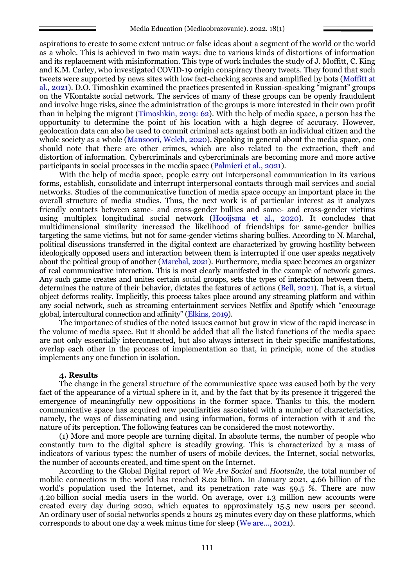aspirations to create to some extent untrue or false ideas about a segment of the world or the world as a whole. This is achieved in two main ways: due to various kinds of distortions of information and its replacement with misinformation. This type of work includes the study of J. Moffitt, C. King and K.M. Carley, who investigated COVID-19 origin conspiracy theory tweets. They found that such tweets were supported by news sites with low fact-checking scores and amplified by bots (Moffitt at al., 2021). D.O. Timoshkin examined the practices presented in Russian-speaking "migrant" groups on the VKontakte social network. The services of many of these groups can be openly fraudulent and involve huge risks, since the administration of the groups is more interested in their own profit than in helping the migrant (Timoshkin, 2019: 62). With the help of media space, a person has the opportunity to determine the point of his location with a high degree of accuracy. However, geolocation data can also be used to commit criminal acts against both an individual citizen and the whole society as a whole (Mansoori, Welch, 2020). Speaking in general about the media space, one should note that there are other crimes, which are also related to the extraction, theft and distortion of information. Cybercriminals and cybercriminals are becoming more and more active participants in social processes in the media space (Palmieri et al., 2021).

With the help of media space, people carry out interpersonal communication in its various forms, establish, consolidate and interrupt interpersonal contacts through mail services and social networks. Studies of the communicative function of media space occupy an important place in the overall structure of media studies. Thus, the next work is of particular interest as it analyzes friendly contacts between same- and cross-gender bullies and same- and cross-gender victims using multiplex longitudinal social network (Hooijsma et al., 2020). It concludes that multidimensional similarity increased the likelihood of friendships for same-gender bullies targeting the same victims, but not for same-gender victims sharing bullies. According to N. Marchal, political discussions transferred in the digital context are characterized by growing hostility between ideologically opposed users and interaction between them is interrupted if one user speaks negatively about the political group of another (Marchal, 2021). Furthermore, media space becomes an organizer of real communicative interaction. This is most clearly manifested in the example of network games. Any such game creates and unites certain social groups, sets the types of interaction between them, determines the nature of their behavior, dictates the features of actions (Bell, 2021). That is, a virtual object deforms reality. Implicitly, this process takes place around any streaming platform and within any social network, such as streaming entertainment services Netflix and Spotify which "encourage global, intercultural connection and affinity" (Elkins, 2019).

The importance of studies of the noted issues cannot but grow in view of the rapid increase in the volume of media space. But it should be added that all the listed functions of the media space are not only essentially interconnected, but also always intersect in their specific manifestations, overlap each other in the process of implementation so that, in principle, none of the studies implements any one function in isolation.

#### **4. Results**

The change in the general structure of the communicative space was caused both by the very fact of the appearance of a virtual sphere in it, and by the fact that by its presence it triggered the emergence of meaningfully new oppositions in the former space. Thanks to this, the modern communicative space has acquired new peculiarities associated with a number of characteristics, namely, the ways of disseminating and using information, forms of interaction with it and the nature of its perception. The following features can be considered the most noteworthy.

(1) More and more people are turning digital. In absolute terms, the number of people who constantly turn to the digital sphere is steadily growing. This is characterized by a mass of indicators of various types: the number of users of mobile devices, the Internet, social networks, the number of accounts created, and time spent on the Internet.

According to the Global Digital report of *We Are Social* and *Hootsuite*, the total number of mobile connections in the world has reached 8.02 billion. In January 2021, 4.66 billion of the world's population used the Internet, and its penetration rate was 59.5 %. There are now 4.20 billion social media users in the world. On average, over 1.3 million new accounts were created every day during 2020, which equates to approximately 15.5 new users per second. An ordinary user of social networks spends 2 hours 25 minutes every day on these platforms, which corresponds to about one day a week minus time for sleep (We are…, 2021).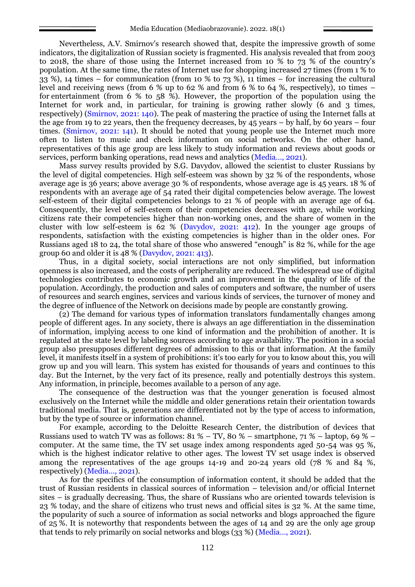Nevertheless, A.V. Smirnov's research showed that, despite the impressive growth of some indicators, the digitalization of Russian society is fragmented. His analysis revealed that from 2003 to 2018, the share of those using the Internet increased from 10 % to 73 % of the country's population. At the same time, the rates of Internet use for shopping increased 27 times (from 1 % to 33 %), 14 times – for communication (from 10 % to 73 %), 11 times – for increasing the cultural level and receiving news (from 6 % up to 62 % and from 6 % to 64 %, respectively), 10 times – for entertainment (from 6 % to 58 %). However, the proportion of the population using the Internet for work and, in particular, for training is growing rather slowly (6 and 3 times, respectively) (Smirnov, 2021: 140). The peak of mastering the practice of using the Internet falls at the age from 19 to 22 years, then the frequency decreases, by 45 years – by half, by 60 years – four times. (Smirnov, 2021: 141). It should be noted that young people use the Internet much more often to listen to music and check information on social networks. On the other hand, representatives of this age group are less likely to study information and reviews about goods or services, perform banking operations, read news and analytics (Media…, 2021).

Mass survey results provided by S.G. Davydov, allowed the scientist to cluster Russians by the level of digital competencies. High self-esteem was shown by 32 % of the respondents, whose average age is 36 years; above average 30 % of respondents, whose average age is 45 years. 18 % of respondents with an average age of 54 rated their digital competencies below average. The lowest self-esteem of their digital competencies belongs to 21 % of people with an average age of 64. Consequently, the level of self-esteem of their competencies decreases with age, while working citizens rate their competencies higher than non-working ones, and the share of women in the cluster with low self-esteem is  $62 \%$  (Davydov, 2021: 412). In the younger age groups of respondents, satisfaction with the existing competencies is higher than in the older ones. For Russians aged 18 to 24, the total share of those who answered "enough" is 82 %, while for the age group 60 and older it is 48 % (Davydov, 2021: 413).

Thus, in a digital society, social interactions are not only simplified, but information openness is also increased, and the costs of peripherality are reduced. The widespread use of digital technologies contributes to economic growth and an improvement in the quality of life of the population. Accordingly, the production and sales of computers and software, the number of users of resources and search engines, services and various kinds of services, the turnover of money and the degree of influence of the Network on decisions made by people are constantly growing.

(2) The demand for various types of information translators fundamentally changes among people of different ages. In any society, there is always an age differentiation in the dissemination of information, implying access to one kind of information and the prohibition of another. It is regulated at the state level by labeling sources according to age availability. The position in a social group also presupposes different degrees of admission to this or that information. At the family level, it manifests itself in a system of prohibitions: it's too early for you to know about this, you will grow up and you will learn. This system has existed for thousands of years and continues to this day. But the Internet, by the very fact of its presence, really and potentially destroys this system. Any information, in principle, becomes available to a person of any age.

The consequence of the destruction was that the younger generation is focused almost exclusively on the Internet while the middle and older generations retain their orientation towards traditional media. That is, generations are differentiated not by the type of access to information, but by the type of source or information channel.

For example, according to the Deloitte Research Center, the distribution of devices that Russians used to watch TV was as follows:  $81\% - TV$ ,  $80\% - smartphone$ ,  $71\% - labor, 69\%$ computer. At the same time, the TV set usage index among respondents aged 50-54 was 95 %, which is the highest indicator relative to other ages. The lowest TV set usage index is observed among the representatives of the age groups 14-19 and 20-24 years old (78 % and 84 %, respectively) (Media…, 2021).

As for the specifics of the consumption of information content, it should be added that the trust of Russian residents in classical sources of information – television and/or official Internet sites – is gradually decreasing. Thus, the share of Russians who are oriented towards television is 23 % today, and the share of citizens who trust news and official sites is 32 %. At the same time, the popularity of such a source of information as social networks and blogs approached the figure of 25 %. It is noteworthy that respondents between the ages of 14 and 29 are the only age group that tends to rely primarily on social networks and blogs (33 %) (Media…, 2021).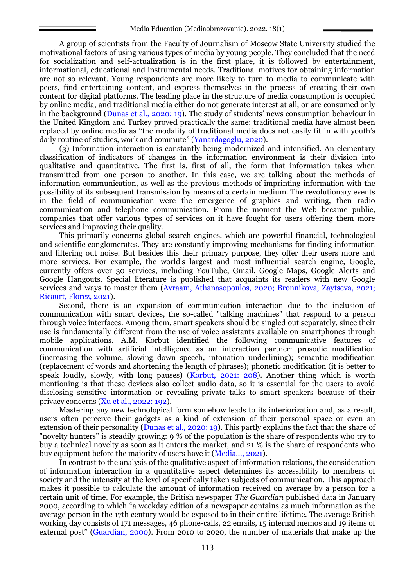A group of scientists from the Faculty of Journalism of Moscow State University studied the motivational factors of using various types of media by young people. They concluded that the need for socialization and self-actualization is in the first place, it is followed by entertainment, informational, educational and instrumental needs. Traditional motives for obtaining information are not so relevant. Young respondents are more likely to turn to media to communicate with peers, find entertaining content, and express themselves in the process of creating their own content for digital platforms. The leading place in the structure of media consumption is occupied by online media, and traditional media either do not generate interest at all, or are consumed only in the background (Dunas et al., 2020: 19). The study of students' news consumption behaviour in the United Kingdom and Turkey proved practically the same: traditional media have almost been replaced by online media as "the modality of traditional media does not easily fit in with youth's daily routine of studies, work and commute" (Yanardagoglu, 2020).

(3) Information interaction is constantly being modernized and intensified. An elementary classification of indicators of changes in the information environment is their division into qualitative and quantitative. The first is, first of all, the form that information takes when transmitted from one person to another. In this case, we are talking about the methods of information communication, as well as the previous methods of imprinting information with the possibility of its subsequent transmission by means of a certain medium. The revolutionary events in the field of communication were the emergence of graphics and writing, then radio communication and telephone communication. From the moment the Web became public, companies that offer various types of services on it have fought for users offering them more services and improving their quality.

This primarily concerns global search engines, which are powerful financial, technological and scientific conglomerates. They are constantly improving mechanisms for finding information and filtering out noise. But besides this their primary purpose, they offer their users more and more services. For example, the world's largest and most influential search engine, Google, currently offers over 30 services, including YouTube, Gmail, Google Maps, Google Alerts and Google Hangouts. Special literature is published that acquaints its readers with new Google services and ways to master them (Avraam, Athanasopoulos, 2020; Bronnikova, Zaytseva, 2021; Ricaurt, Florez, 2021).

Second, there is an expansion of communication interaction due to the inclusion of communication with smart devices, the so-called "talking machines" that respond to a person through voice interfaces. Among them, smart speakers should be singled out separately, since their use is fundamentally different from the use of voice assistants available on smartphones through mobile applications. A.M. Korbut identified the following communicative features of communication with artificial intelligence as an interaction partner: prosodic modification (increasing the volume, slowing down speech, intonation underlining); semantic modification (replacement of words and shortening the length of phrases); phonetic modification (it is better to speak loudly, slowly, with long pauses) (Korbut, 2021: 208). Another thing which is worth mentioning is that these devices also collect audio data, so it is essential for the users to avoid disclosing sensitive information or revealing private talks to smart speakers because of their privacy concerns (Xu et al., 2022: 192).

Mastering any new technological form somehow leads to its interiorization and, as a result, users often perceive their gadgets as a kind of extension of their personal space or even an extension of their personality (Dunas et al., 2020: 19). This partly explains the fact that the share of "novelty hunters" is steadily growing: 9 % of the population is the share of respondents who try to buy a technical novelty as soon as it enters the market, and 21 % is the share of respondents who buy equipment before the majority of users have it (Media…, 2021).

In contrast to the analysis of the qualitative aspect of information relations, the consideration of information interaction in a quantitative aspect determines its accessibility to members of society and the intensity at the level of specifically taken subjects of communication. This approach makes it possible to calculate the amount of information received on average by a person for a certain unit of time. For example, the British newspaper *The Guardian* published data in January 2000, according to which "a weekday edition of a newspaper contains as much information as the average person in the 17th century would be exposed to in their entire lifetime. The average British working day consists of 171 messages, 46 phone-calls, 22 emails, 15 internal memos and 19 items of external post" (Guardian, 2000). From 2010 to 2020, the number of materials that make up the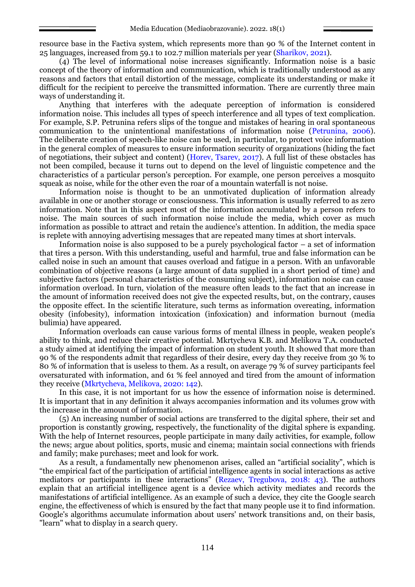resource base in the Factiva system, which represents more than 90 % of the Internet content in 25 languages, increased from 59.1 to 102.7 million materials per year (Sharikov, 2021).

(4) The level of informational noise increases significantly. Information noise is a basic concept of the theory of information and communication, which is traditionally understood as any reasons and factors that entail distortion of the message, complicate its understanding or make it difficult for the recipient to perceive the transmitted information. There are currently three main ways of understanding it.

Anything that interferes with the adequate perception of information is considered information noise. This includes all types of speech interference and all types of text complication. For example, S.P. Petrunina refers slips of the tongue and mistakes of hearing in oral spontaneous communication to the unintentional manifestations of information noise (Petrunina, 2006). The deliberate creation of speech-like noise can be used, in particular, to protect voice information in the general complex of measures to ensure information security of organizations (hiding the fact of negotiations, their subject and content) (Horev, Tsarev, 2017). A full list of these obstacles has not been compiled, because it turns out to depend on the level of linguistic competence and the characteristics of a particular person's perception. For example, one person perceives a mosquito squeak as noise, while for the other even the roar of a mountain waterfall is not noise.

Information noise is thought to be an unmotivated duplication of information already available in one or another storage or consciousness. This information is usually referred to as zero information. Note that in this aspect most of the information accumulated by a person refers to noise. The main sources of such information noise include the media, which cover as much information as possible to attract and retain the audience's attention. In addition, the media space is replete with annoying advertising messages that are repeated many times at short intervals.

Information noise is also supposed to be a purely psychological factor – a set of information that tires a person. With this understanding, useful and harmful, true and false information can be called noise in such an amount that causes overload and fatigue in a person. With an unfavorable combination of objective reasons (a large amount of data supplied in a short period of time) and subjective factors (personal characteristics of the consuming subject), information noise can cause information overload. In turn, violation of the measure often leads to the fact that an increase in the amount of information received does not give the expected results, but, on the contrary, causes the opposite effect. In the scientific literature, such terms as information overeating, information obesity (infobesity), information intoxication (infoxication) and information burnout (media bulimia) have appeared.

Information overloads can cause various forms of mental illness in people, weaken people's ability to think, and reduce their creative potential. Mkrtycheva K.B. and Melikova T.A. conducted a study aimed at identifying the impact of information on student youth. It showed that more than 90 % of the respondents admit that regardless of their desire, every day they receive from 30 % to 80 % of information that is useless to them. As a result, on average 79 % of survey participants feel oversaturated with information, and 61 % feel annoyed and tired from the amount of information they receive (Mkrtycheva, Melikova, 2020: 142).

In this case, it is not important for us how the essence of information noise is determined. It is important that in any definition it always accompanies information and its volumes grow with the increase in the amount of information.

(5) An increasing number of social actions are transferred to the digital sphere, their set and proportion is constantly growing, respectively, the functionality of the digital sphere is expanding. With the help of Internet resources, people participate in many daily activities, for example, follow the news; argue about politics, sports, music and cinema; maintain social connections with friends and family; make purchases; meet and look for work.

As a result, a fundamentally new phenomenon arises, called an "artificial sociality", which is "the empirical fact of the participation of artificial intelligence agents in social interactions as active mediators or participants in these interactions" (Rezaev, Tregubova, 2018: 43). The authors explain that an artificial intelligence agent is a device which activity mediates and records the manifestations of artificial intelligence. As an example of such a device, they cite the Google search engine, the effectiveness of which is ensured by the fact that many people use it to find information. Google's algorithms accumulate information about users' network transitions and, on their basis, "learn" what to display in a search query.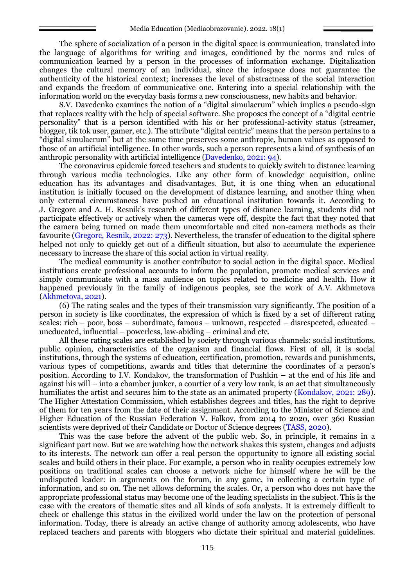The sphere of socialization of a person in the digital space is communication, translated into the language of algorithms for writing and images, conditioned by the norms and rules of communication learned by a person in the processes of information exchange. Digitalization changes the cultural memory of an individual, since the infospace does not guarantee the authenticity of the historical context; increases the level of abstractness of the social interaction and expands the freedom of communicative one. Entering into a special relationship with the information world on the everyday basis forms a new consciousness, new habits and behavior.

S.V. Davedenko examines the notion of a "digital simulacrum" which implies a pseudo-sign that replaces reality with the help of special software. She proposes the concept of a "digital centric personality" that is a person identified with his or her professional-activity status (streamer, blogger, tik tok user, gamer, etc.). The attribute "digital centric" means that the person pertains to a "digital simulacrum" but at the same time preserves some anthropic, human values as opposed to those of an artificial intelligence. In other words, such a person represents a kind of synthesis of an anthropic personality with artificial intelligence (Davedenko, 2021: 94).

The coronavirus epidemic forced teachers and students to quickly switch to distance learning through various media technologies. Like any other form of knowledge acquisition, online education has its advantages and disadvantages. But, it is one thing when an educational institution is initially focused on the development of distance learning, and another thing when only external circumstances have pushed an educational institution towards it. According to J. Gregorc and A. H. Resnik's research of different types of distance learning, students did not participate effectively or actively when the cameras were off, despite the fact that they noted that the camera being turned on made them uncomfortable and cited non-camera methods as their favourite (Gregorc, Resnik, 2022: 273). Nevertheless, the transfer of education to the digital sphere helped not only to quickly get out of a difficult situation, but also to accumulate the experience necessary to increase the share of this social action in virtual reality.

The medical community is another contributor to social action in the digital space. Medical institutions create professional accounts to inform the population, promote medical services and simply communicate with a mass audience on topics related to medicine and health. How it happened previously in the family of indigenous peoples, see the work of A.V. Akhmetova (Akhmetova, 2021).

(6) The rating scales and the types of their transmission vary significantly. The position of a person in society is like coordinates, the expression of which is fixed by a set of different rating scales: rich – poor, boss – subordinate, famous – unknown, respected – disrespected, educated – uneducated, influential – powerless, law-abiding – criminal and etc.

All these rating scales are established by society through various channels: social institutions, public opinion, characteristics of the organism and financial flows. First of all, it is social institutions, through the systems of education, certification, promotion, rewards and punishments, various types of competitions, awards and titles that determine the coordinates of a person's position. According to I.V. Kondakov, the transformation of Pushkin – at the end of his life and against his will – into a chamber junker, a courtier of a very low rank, is an act that simultaneously humiliates the artist and secures him to the state as an animated property (Kondakov, 2021: 289). The Higher Attestation Commission, which establishes degrees and titles, has the right to deprive of them for ten years from the date of their assignment. According to the Minister of Science and Higher Education of the Russian Federation V. Falkov, from 2014 to 2020, over 360 Russian scientists were deprived of their Candidate or Doctor of Science degrees (TASS, 2020).

This was the case before the advent of the public web. So, in principle, it remains in a significant part now. But we are watching how the network shakes this system, changes and adjusts to its interests. The network can offer a real person the opportunity to ignore all existing social scales and build others in their place. For example, a person who in reality occupies extremely low positions on traditional scales can choose a network niche for himself where he will be the undisputed leader: in arguments on the forum, in any game, in collecting a certain type of information, and so on. The net allows deforming the scales. Or, a person who does not have the appropriate professional status may become one of the leading specialists in the subject. This is the case with the creators of thematic sites and all kinds of sofa analysts. It is extremely difficult to check or challenge this status in the civilized world under the law on the protection of personal information. Today, there is already an active change of authority among adolescents, who have replaced teachers and parents with bloggers who dictate their spiritual and material guidelines.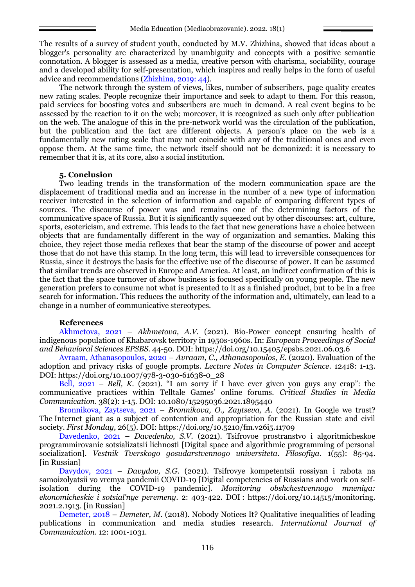The results of a survey of student youth, conducted by M.V. Zhizhina, showed that ideas about a blogger's personality are characterized by unambiguity and concepts with a positive semantic connotation. A blogger is assessed as a media, creative person with charisma, sociability, courage and a developed ability for self-presentation, which inspires and really helps in the form of useful advice and recommendations (Zhizhina, 2019: 44).

The network through the system of views, likes, number of subscribers, page quality creates new rating scales. People recognize their importance and seek to adapt to them. For this reason, paid services for boosting votes and subscribers are much in demand. A real event begins to be assessed by the reaction to it on the web; moreover, it is recognized as such only after publication on the web. The analogue of this in the pre-network world was the circulation of the publication, but the publication and the fact are different objects. A person's place on the web is a fundamentally new rating scale that may not coincide with any of the traditional ones and even oppose them. At the same time, the network itself should not be demonized: it is necessary to remember that it is, at its core, also a social institution.

### **5. Conclusion**

Two leading trends in the transformation of the modern communication space are the displacement of traditional media and an increase in the number of a new type of information receiver interested in the selection of information and capable of comparing different types of sources. The discourse of power was and remains one of the determining factors of the communicative space of Russia. But it is significantly squeezed out by other discourses: art, culture, sports, esotericism, and extreme. This leads to the fact that new generations have a choice between objects that are fundamentally different in the way of organization and semantics. Making this choice, they reject those media reflexes that bear the stamp of the discourse of power and accept those that do not have this stamp. In the long term, this will lead to irreversible consequences for Russia, since it destroys the basis for the effective use of the discourse of power. It can be assumed that similar trends are observed in Europe and America. At least, an indirect confirmation of this is the fact that the space turnover of show business is focused specifically on young people. The new generation prefers to consume not what is presented to it as a finished product, but to be in a free search for information. This reduces the authority of the information and, ultimately, can lead to a change in a number of communicative stereotypes.

### **References**

Akhmetova, 2021 – *Akhmetova, A.V.* (2021). Bio-Power concept ensuring health of indigenous population of Khabarovsk territory in 1950s-1960s. In: *European Proceedings of Social and Behavioral Sciences EPSBS*. 44-50. DOI: https://doi.org/10.15405/epsbs.2021.06.03.6

Avraam, Athanasopoulos, 2020 – *Avraam, C., Athanasopoulos, E.* (2020). Evaluation of the adoption and privacy risks of google prompts. *Lecture Notes in Computer Science*. 12418: 1-13. DOI: https://doi.org/10.1007/978-3-030-61638-0\_28

Bell,  $2021 - Bell$ , K. (2021). "I am sorry if I have ever given you guys any crap": the communicative practices within Telltale Games' online forums. *Critical Studies in Media Communication*. 38(2): 1-15. DOI: 10.1080/15295036.2021.1895440

Bronnikova, Zaytseva, 2021 – *Bronnikova, O., Zaytseva, A.* (2021). In Google we trust? The Internet giant as a subject of contention and appropriation for the Russian state and civil society. *First Monday*, 26(5). DOI: https://doi.org/10.5210/fm.v26i5.11709

Davedenko, 2021 – *Davedenko, S.V.* (2021). Tsifrovoe prostranstvo i algoritmicheskoe programmirovanie sotsializatsii lichnosti [Digital space and algorithmic programming of personal socialization]. *Vestnik Tverskogo gosudarstvennogo universiteta. Filosofiya*. 1(55): 85-94. [in Russian]

Davydov, 2021 – *Davydov, S.G*. (2021). Tsifrovye kompetentsii rossiyan i rabota na samoizolyatsii vo vremya pandemii COVID-19 [Digital competencies of Russians and work on selfisolation during the COVID-19 pandemic]. *Monitoring obshchestvennogo mneniya: ekonomicheskie i sotsial'nye peremeny*. 2: 403-422. DOI : https://doi.org/10.14515/monitoring. 2021.2.1913. [in Russian]

Demeter, 2018 – *Demeter, M.* (2018). Nobody Notices It? Qualitative inequalities of leading publications in communication and media studies research. *International Journal of Communication*. 12: 1001-1031.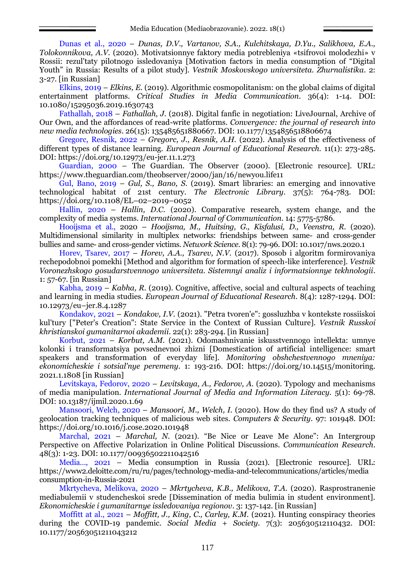Dunas et al., 2020 – *Dunas, D.V., Vartanov, S.A., Kulchitskaya, D.Yu., Salikhova, E.A., Tolokonnikova, A.V.* (2020). Motivatsionnye faktory media potrebleniya «tsifrovoi molodezhi» v Rossii: rezul'taty pilotnogo issledovaniya [Motivation factors in media consumption of "Digital Youth" in Russia: Results of a pilot study]. *Vestnik Moskovskogo universiteta. Zhurnalistika.* 2: 3-27. [in Russian]

Elkins, 2019 – *Elkins, E.* (2019). Algorithmic cosmopolitanism: on the global claims of digital entertainment platforms. *Critical Studies in Media Communication*. 36(4): 1-14. DOI: 10.1080/15295036.2019.1630743

Fathallah, 2018 – *Fathallah, J.* (2018). Digital fanfic in negotiation: LiveJournal, Archive of Our Own, and the affordances of read-write platforms. *Convergence: the journal of research into new media technologies*. 26(15): 135485651880667. DOI: 10.1177/1354856518806674

Gregorc, Resnik, 2022 – *Gregorc, J., Resnik, A.H.* (2022). Analysis of the effectiveness of different types of distance learning. *European Journal of Educational Research.* 11(1): 273-285. DOI: https://doi.org/10.12973/eu-jer.11.1.273

Guardian, 2000 – The Guardian. The Observer (2000). [Electronic resource]. URL: <https://www.theguardian.com/theobserver/2000/jan/16/newyou.life11>

Gul, Bano, 2019 – *Gul, S., Bano, S.* (2019). Smart libraries: an emerging and innovative technological habitat of 21st century. *The Electronic Library*. 37(5): 764-783. DOI: https://doi.org/10.1108/EL–02–2019–0052

Hallin, 2020 – *Hallin, D.C.* (2020). Comparative research, system change, and the complexity of media systems. *International Journal of Communication*. 14: 5775-5786.

Hooijsma et al., 2020 – *Hooijsma, M., Huitsing, G., Kisfalusi, D., Veenstra, R.* (2020). Multidimensional similarity in multiplex networks: friendships between same- and cross-gender bullies and same- and cross-gender victims. *Network Science*. 8(1): 79-96. DOI: 10.1017/nws.2020.1

Horev, Tsarev, 2017 – *Horev, A.A., Tsarev, N.V.* (2017). Sposob i algoritm formirovaniya rechepodobnoi pomekhi [Method and algorithm for formation of speech-like interference]. *Vestnik Voronezhskogo gosudarstvennogo universiteta. Sistemnyi analiz i informatsionnye tekhnologii*. 1: 57-67. [in Russian]

Kabha, 2019 – *Kabha, R.* (2019). Cognitive, affective, social and cultural aspects of teaching and learning in media studies. *European Journal of Educational Research*. 8(4): 1287-1294. DOI: 10.12973/eu–jer.8.4.1287

Kondakov, 2021 – *Kondakov, I.V.* (2021). "Petra tvoren'e": gossluzhba v kontekste rossiiskoi kul'tury ["Peter's Creation": State Service in the Context of Russian Culture]. *Vestnik Russkoi khristianskoi gumanitarnoi akademii*. 22(1): 283-294. [in Russian]

Korbut, 2021 – *Korbut, A.M.* (2021). Odomashnivanie iskusstvennogo intellekta: umnye kolonki i transformatsiya povsednevnoi zhizni [Domestication of artificial intelligence: smart speakers and transformation of everyday life]. *Monitoring obshchestvennogo mneniya: ekonomicheskie i sotsial'nye peremeny*. 1: 193-216. DOI: https://doi.org/10.14515/monitoring. 2021.1.1808 [in Russian]

Levitskaya, Fedorov, 2020 – *Levitskaya, A., Fedorov, A.* (2020). Typology and mechanisms of media manipulation. *International Journal of Media and Information Literacy.* 5(1): 69-78. DOI: 10.13187/ijmil.2020.1.69

Mansoori, Welch, 2020 – *Mansoori, M., Welch, I.* (2020). How do they find us? A study of geolocation tracking techniques of malicious web sites. *Computers & Security*. 97: 101948. DOI: https://doi.org/10.1016/j.cose.2020.101948

Marchal, 2021 – *Marchal, N.* (2021). "Be Nice or Leave Me Alone": An Intergroup Perspective on Affective Polarization in Online Political Discussions. *Communication Research*. 48(3): 1-23. DOI: 10.1177/00936502211042516

Media…, 2021 – Media consumption in Russia (2021). [Electronic resource]. URL: https://www2.deloitte.com/ru/ru/pages/technology-media-and-telecommunications/articles/media consumption-in-Russia-2021

Mkrtycheva, Melikova, 2020 – *Mkrtycheva, K.B., Melikova, T.A.* (2020). Rasprostranenie mediabulemii v studencheskoi srede [Dissemination of media bulimia in student environment]. *Ekonomicheskie i gumanitarnye issledovaniya regionov*. 3: 137-142. [in Russian]

Moffitt at al., 2021 – *Moffitt, J., King, C., Carley, K.M.* (2021). Hunting conspiracy theories during the COVID-19 pandemic. *Social Media + Society*. 7(3): 205630512110432. DOI: 10.1177/20563051211043212